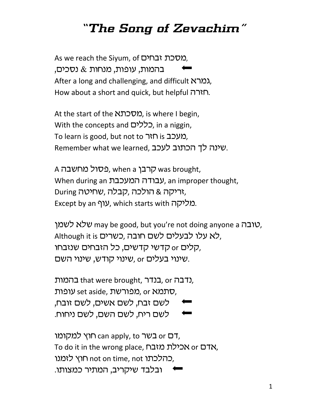## *"The Song of Zevachim"*

As we reach the Siyum, of מסכת זבחים, בהמות, עופות, מנחות  $\&$  נסכים, After a long and challenging, and difficult  $K\Lambda$ גמר $\lambda$ , How about a short and quick, but helpful הארה.

At the start of the *Nכת*א, is where I begin, With the concepts and  $\Box$ כללים, in a niggin, To learn is good, but not to תעכב זה והו Remember what we learned, שינה לד הכתוב לעכב.

A כסול מחשבה was brought, When during an עבודה המעכבת, an improper thought, During *וריקה* & הולכה, *קבלה, ש*חיטה, Except by an  $\mathcal{V}$ , which starts with  $\mathcal{V}$ .

יובה ray be good, but you're not doing anyone a שלא לשמן, Although it is לא עלו לבעלים לשם חובה, כשרים, קלים or קדשי קדשים, כל הזבחים שנזבחו, שינוי בעלים or שינוי קודש, שינוי השם.

נדבה, or בנדר, that were brought, ברמות. סתמא set aside, שתמא or נופות, לשם זבח, לשם אשים, לשם זובח, לשם ריח, לשם השם, לשם ניחוח.

רם  $c$ an apply, to בשר or סבשר, To do it in the wrong place, אדם אכילת מזבח, כהלכתו not on time, not לזמנו, ובלבד שיקריב, המתיר כמצותו.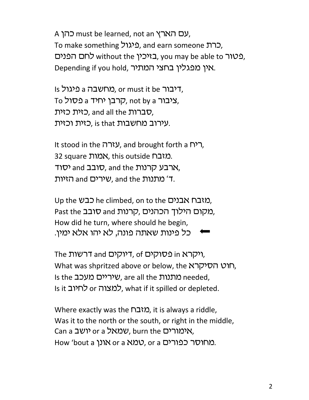A עם הארץ, must be learned, not an כהן, To make something ברת, and earn someone ה באיכיו without the באיכיו, you may be able to בטור, Depending if you hold, ראין מפגלין בחצי המתיר.

Is ביגול, a היבור or must it be היגול,  $T$ ניבור a  $\sigma$ not by a קרבן יחיד, a מסול, כזית כזית, and all the הברות, עירוב מחשבות ,is that כזית וכזית.

It stood in the  $\mathcal{V}$ , and brought forth a  $\mathcal{V}$ ר, 32 square אמות, this outside 25. הרבע קרנות and the יסוד, ר' מתנות and the ,שירים and הזיות.

Up the CLIMbed, on to the כבש Past the כובב and מקום הילוך הכהנים, How did he turn, where should he begin, . כל פינות שאתה פונה, לא יהו אלא ימין

The דרשות, of כסוקים, of דיוקים, What was shpritzed above or below, the רוט הסיקרא, Is the מתנות are all the ,שיריים מעכב, Is the Is it למצוה or כלחיוב, what if it spilled or depleted.

Where exactly was the  $\mathsf{NIN}$ , it is always a riddle, Was it to the north or the south, or right in the middle, Can a יושב or a kthc can a ktah. אימורים, How 'bout a וונן or a טמא. or a כפורים.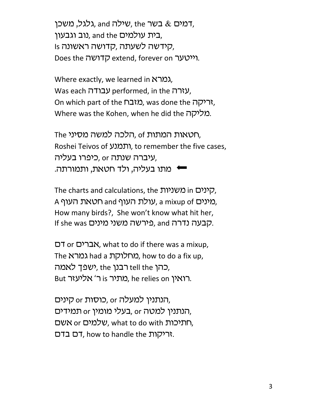רמים  $\&$  בשר the ,שילה, and גלגל, משכן, בית עולמים and the נוב וגבעון, Is קידשה לשעתה, קדושה ראשונה, Does the *הייטער* extend, forever on יינטער.

Where exactly, we learned in  $K\Lambda$ . Was each עבודה performed, in the עזרה, On which part of the  $\bigcap$ גריקה, was done the  $\bigcap$ יר Where was the Kohen, when he did the מליקה.

The הלכה למשה מסיני, of ,תטאות המתות Roshei Teivos of ותמנע, to remember the five cases, עיברה שנתה or, כיפרו בעליה,  $\rightarrow$  מתו בעליה, ולד חטאת, ותמורתה

The charts and calculations, the קינים in סשניות, A (מינים, a mixup of טאת העוף, a mixup of a How many birds?, She won't know what hit her, If she was כירשה משני מינים. and hp

os or ohrct, what to do if there was a mixup, The נמרא had a מחלוקת, how to do a fix up, כהן tell the רבנן, the ישפך לאמה, But רואין is באתיר, he relies on מתיר,

הנתנין למעלה or כוסות or קינים, הנתנין למטה or בעלי מומין or המידים, תתיכות what to do with שלמים or חתיכות,  $T$ ריקות T, how to handle the הריקות.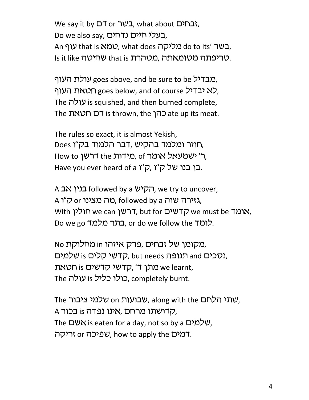We say it by <sup>D</sup>T or רשר, what about *בחים*, Do we also say, בעלי חיים נדחים, An עוף that is בשר do to its' בשר, what does באר Is it like טריפתה מטומאתה, מטהרת that is .

מבדיל goes above, and be sure to be מבדיל, לא יבדיל goes below, and of course רלא יבדיל, The עולה is squished, and then burned complete, The הר is thrown, the כהן ate up its meat.

The rules so exact, it is almost Yekish, Does חוזר ומלמד בהקיש ,דבר הלמוד בק"ו, How to ומידות the ה' ישמעאל אומר, of ר' Have you ever heard of a בן בנו של ק"ו, א"ר, א

A הקיש followed by a הקיש, we try to uncover, A גאירה שוה followed by a גאירה שוה, followed by a With וולין we can ink, but for הדשים, but hyth אומד Do we go בתר מלמד. or do we follow the הלומד.

No מקומן של זבחים ,פרק איזהו in מחלוקת, וסכים and תנופה but needs כדשי קלים. תתן ד', קדשי קדשים is מאת we learnt, The כולו כליל is בולו כליל, completely burnt.

The שבועות on שבועות, along with the שהי הלחם, A קדושתו מרחם, אינו נפדה, is בכור, The שלמים, is eaten for a day, not so by a שלמים, עפיכה or יריקה. how to apply the  $\mathcal V$ ריקה.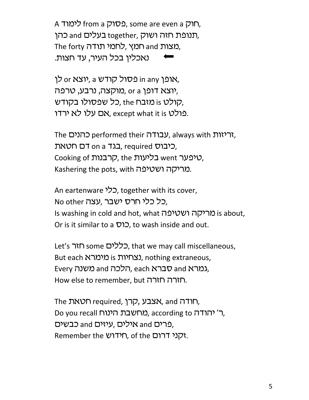A רוק, some are even a כסוק from a לימוד, תנופת חזה ושוק, together, תנופת חזה ושוק, The forty רמצות, לחמי תודה, נאכלין בכל העיר, עד חצות.

אופן in any כרודש a יוצא or אופן, יצא דופן or a מוקצה, נרבע, טרפה), כל שפסולו בקודש, the הולט, פולט אם עלו לא ירדו. except what it is נ

The כהנים, performed their עבודה, כיבוס on a דב, required כיבוס, Cooking of הרבנות, the הליעות, went , Kashering the pots, with מריקה ושטיפה.

An eartenware כלי, together with its cover, No other עצה, עצה, Is washing in cold and hot, what ומריקה ושטיפה is about, Or is it similar to a  $\mathcal{D}$ , to wash inside and out.

Let's רללים some כללים, that we may call miscellaneous, But each נצחיות is נאמרא, nothing extraneous, Every הלכה and משנה, each גמרא, How else to remember, but חזרה חזרה.

The הרדה, אצבע, קרן, required, הרדה, Do you recall כ׳ יהודה, according to כ׳ יהודה, פרים and אילים, עיזים and כבשים, Remember the *N* תידוש, of the הקני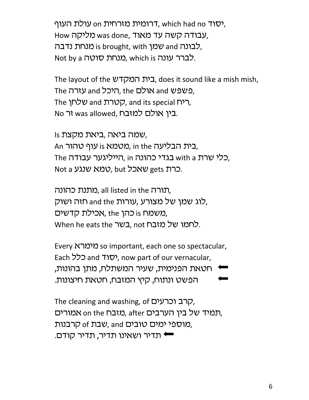יסוד ,which had no ישולת העוף, which had no su How מליקה was done, עבודה קשה עד מאוד, לבונה and שמן is brought, with לבונה, Not by a לברר עונה, which is כאנחת סוטה.

The layout of the בית המקדש, does it sound like a mish mish, The עזרה and אולם, the היכל The שלחן, and its special הטרת and its special n No בין אולם למזבח.

Is שמה ביאה ,ביאת מקצת, An בית הבליעה in the מטמא is עוף טהור. The כלי שרת with a בגדי כהונה in הייליגער עבודה, Not a שאכל, but כרת gets שאכל,

תורה all listed in the כאתנת, לוג שמן של מצורע ,עורות and the חזה ושוק, משמח is כהן, the אכילת קדשים, When he eats the רשל מזבח, not לחמו של מזבח,

Every מימרא so important, each one so spectacular, Each כלל and יסוד, now part of our vernacular, ' חטאת הפנימית, שעיר המשתלח, מתן בהונות, הפשט ונתוח, קיץ המזבח, חטאת חיצונות.

The cleaning and washing, of הרב וכרעים, תמיד של בין הערבים , after מזבח, astric הת מוספי ימים טובים and, שבת of קרבנות, ש תדיר ושאינו תדיר, תדיר קודם.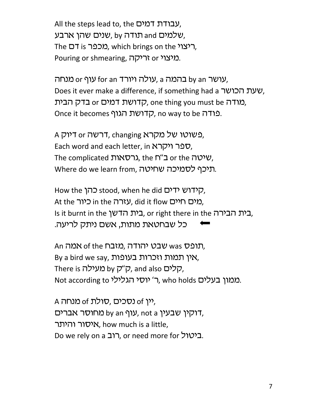All the steps lead to, the רמים, שלמים and תודה by , שלמים and שהן. The ריצוי, which brings on the ריצוי, Pouring or shmearing, כויצוי or אריקה.

עושר or y נהמה a ,עולה ויורד for an עוף or שנחה, Does it ever make a difference, if something had a שעת הכושר, מודה or כדלת, one thing you must be כדק הבית, Once it becomes הדושת הגוף ,no way to be כודה.

A פשוטו של מקרא trenging רבשה, Each word and each letter, in לפר ויקרא, The complicated גרסאות, the f<sup>"</sup>ם or the *vy*, Where do we learn from, תיכף לסמיכה שחיטה.

How the כהן stood, when he did קידוש ידים, At the כיור in the עזרה, did it flow מים חיים, Is it burnt in the בית הבירה, or right there in the בית הבירה, כל שבחטאת מתות, אשם ניתק לריעה.

An העמה An שבט יהודה, מזבח, By a bird we say, בעופות הכרות בעופות, There is קלים, and also קלים, and also Not according to ר׳ יוסי הגלילי, who holds בממון בעלים.

A מנחה of  $\sigma$ , יין of  $\sigma$  נסכים, סולת, דוקין שבעין an y ווף not a לוחוסר אברים, איסור והיתר, how much is a little, Do we rely on a רוב, or need more for ביטול.